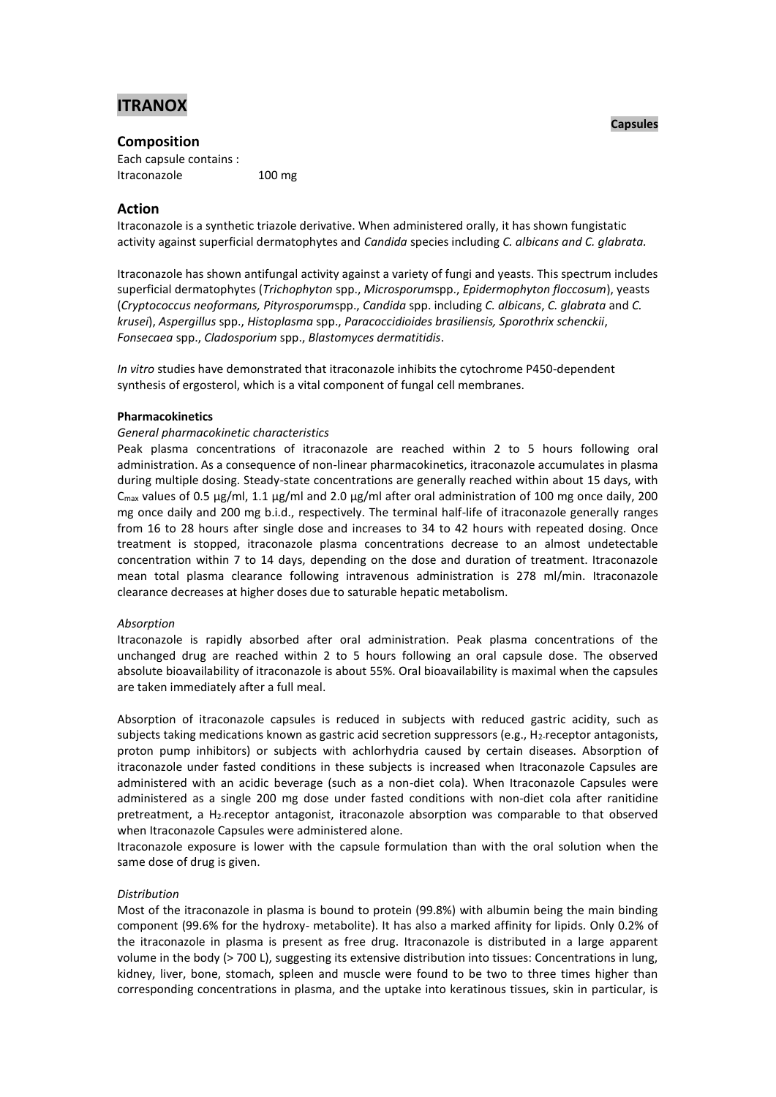# **ITRANOX**

### **Composition**

Each capsule contains : Itraconazole 100 mg

# **Action**

Itraconazole is a synthetic triazole derivative. When administered orally, it has shown fungistatic activity against superficial dermatophytes and *Candida* species including *C. albicans and C. glabrata.*

Itraconazole has shown antifungal activity against a variety of fungi and yeasts. This spectrum includes superficial dermatophytes (*Trichophyton* spp., *Microsporum*spp., *Epidermophyton floccosum*), yeasts (*Cryptococcus neoformans, Pityrosporum*spp., *Candida* spp. including *C. albicans*, *C. glabrata* and *C. krusei*), *Aspergillus* spp., *Histoplasma* spp., *Paracoccidioides brasiliensis, Sporothrix schenckii*, *Fonsecaea* spp., *Cladosporium* spp., *Blastomyces dermatitidis*.

*In vitro* studies have demonstrated that itraconazole inhibits the cytochrome P450-dependent synthesis of ergosterol, which is a vital component of fungal cell membranes.

### **Pharmacokinetics**

### *General pharmacokinetic characteristics*

Peak plasma concentrations of itraconazole are reached within 2 to 5 hours following oral administration. As a consequence of non-linear pharmacokinetics, itraconazole accumulates in plasma during multiple dosing. Steady-state concentrations are generally reached within about 15 days, with  $C<sub>max</sub>$  values of 0.5 µg/ml, 1.1 µg/ml and 2.0 µg/ml after oral administration of 100 mg once daily, 200 mg once daily and 200 mg b.i.d., respectively. The terminal half-life of itraconazole generally ranges from 16 to 28 hours after single dose and increases to 34 to 42 hours with repeated dosing. Once treatment is stopped, itraconazole plasma concentrations decrease to an almost undetectable concentration within 7 to 14 days, depending on the dose and duration of treatment. Itraconazole mean total plasma clearance following intravenous administration is 278 ml/min. Itraconazole clearance decreases at higher doses due to saturable hepatic metabolism.

#### *Absorption*

Itraconazole is rapidly absorbed after oral administration. Peak plasma concentrations of the unchanged drug are reached within 2 to 5 hours following an oral capsule dose. The observed absolute bioavailability of itraconazole is about 55%. Oral bioavailability is maximal when the capsules are taken immediately after a full meal.

Absorption of itraconazole capsules is reduced in subjects with reduced gastric acidity, such as subjects taking medications known as gastric acid secretion suppressors (e.g., H<sub>2</sub>-receptor antagonists, proton pump inhibitors) or subjects with achlorhydria caused by certain diseases. Absorption of itraconazole under fasted conditions in these subjects is increased when Itraconazole Capsules are administered with an acidic beverage (such as a non-diet cola). When Itraconazole Capsules were administered as a single 200 mg dose under fasted conditions with non-diet cola after ranitidine pretreatment, a H2-receptor antagonist, itraconazole absorption was comparable to that observed when Itraconazole Capsules were administered alone.

Itraconazole exposure is lower with the capsule formulation than with the oral solution when the same dose of drug is given.

### *Distribution*

Most of the itraconazole in plasma is bound to protein (99.8%) with albumin being the main binding component (99.6% for the hydroxy- metabolite). It has also a marked affinity for lipids. Only 0.2% of the itraconazole in plasma is present as free drug. Itraconazole is distributed in a large apparent volume in the body (> 700 L), suggesting its extensive distribution into tissues: Concentrations in lung, kidney, liver, bone, stomach, spleen and muscle were found to be two to three times higher than corresponding concentrations in plasma, and the uptake into keratinous tissues, skin in particular, is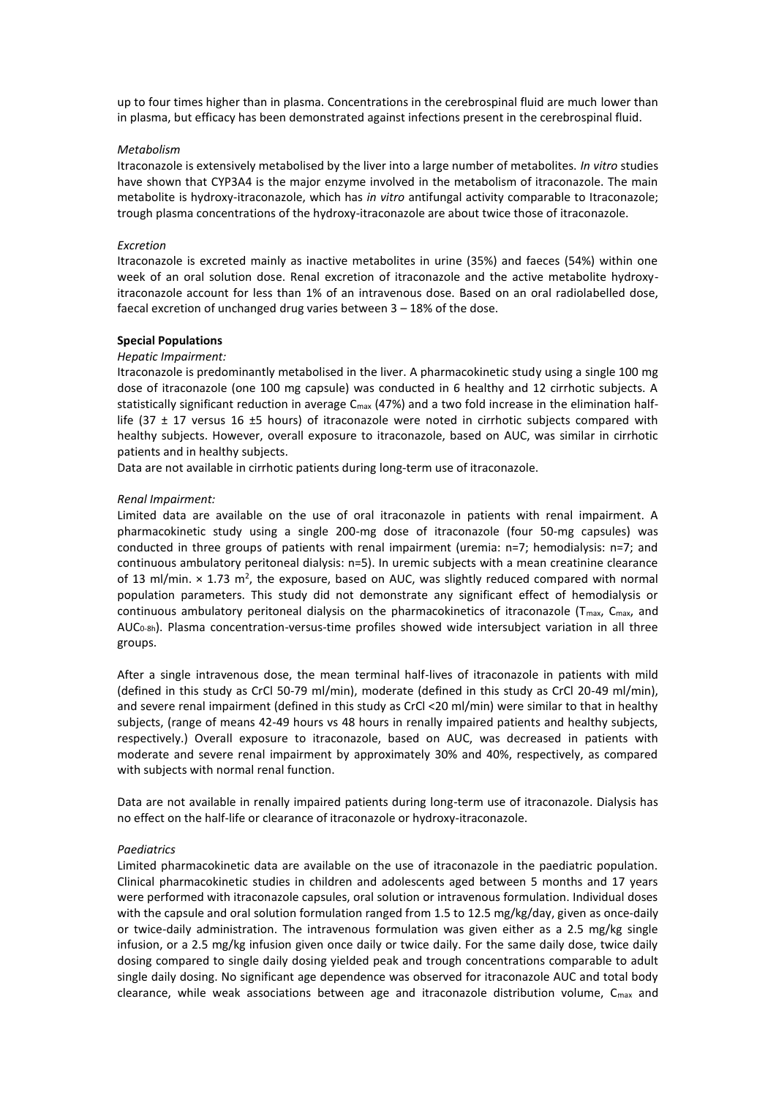up to four times higher than in plasma. Concentrations in the cerebrospinal fluid are much lower than in plasma, but efficacy has been demonstrated against infections present in the cerebrospinal fluid.

#### *Metabolism*

Itraconazole is extensively metabolised by the liver into a large number of metabolites. *In vitro* studies have shown that CYP3A4 is the major enzyme involved in the metabolism of itraconazole. The main metabolite is hydroxy-itraconazole, which has *in vitro* antifungal activity comparable to Itraconazole; trough plasma concentrations of the hydroxy-itraconazole are about twice those of itraconazole.

#### *Excretion*

Itraconazole is excreted mainly as inactive metabolites in urine (35%) and faeces (54%) within one week of an oral solution dose. Renal excretion of itraconazole and the active metabolite hydroxyitraconazole account for less than 1% of an intravenous dose. Based on an oral radiolabelled dose, faecal excretion of unchanged drug varies between 3 – 18% of the dose.

#### **Special Populations**

#### *Hepatic Impairment:*

Itraconazole is predominantly metabolised in the liver. A pharmacokinetic study using a single 100 mg dose of itraconazole (one 100 mg capsule) was conducted in 6 healthy and 12 cirrhotic subjects. A statistically significant reduction in average C<sub>max</sub> (47%) and a two fold increase in the elimination halflife (37  $\pm$  17 versus 16  $\pm$ 5 hours) of itraconazole were noted in cirrhotic subjects compared with healthy subjects. However, overall exposure to itraconazole, based on AUC, was similar in cirrhotic patients and in healthy subjects.

Data are not available in cirrhotic patients during long-term use of itraconazole.

#### *Renal Impairment:*

Limited data are available on the use of oral itraconazole in patients with renal impairment. A pharmacokinetic study using a single 200-mg dose of itraconazole (four 50-mg capsules) was conducted in three groups of patients with renal impairment (uremia: n=7; hemodialysis: n=7; and continuous ambulatory peritoneal dialysis: n=5). In uremic subjects with a mean creatinine clearance of 13 ml/min.  $\times$  1.73 m<sup>2</sup>, the exposure, based on AUC, was slightly reduced compared with normal population parameters. This study did not demonstrate any significant effect of hemodialysis or continuous ambulatory peritoneal dialysis on the pharmacokinetics of itraconazole ( $T_{\text{max}}$ ,  $C_{\text{max}}$ , and AUC0-8h). Plasma concentration-versus-time profiles showed wide intersubject variation in all three groups.

After a single intravenous dose, the mean terminal half-lives of itraconazole in patients with mild (defined in this study as CrCl 50-79 ml/min), moderate (defined in this study as CrCl 20-49 ml/min), and severe renal impairment (defined in this study as CrCl <20 ml/min) were similar to that in healthy subjects, (range of means 42-49 hours vs 48 hours in renally impaired patients and healthy subjects, respectively.) Overall exposure to itraconazole, based on AUC, was decreased in patients with moderate and severe renal impairment by approximately 30% and 40%, respectively, as compared with subjects with normal renal function.

Data are not available in renally impaired patients during long-term use of itraconazole. Dialysis has no effect on the half-life or clearance of itraconazole or hydroxy-itraconazole.

### *Paediatrics*

Limited pharmacokinetic data are available on the use of itraconazole in the paediatric population. Clinical pharmacokinetic studies in children and adolescents aged between 5 months and 17 years were performed with itraconazole capsules, oral solution or intravenous formulation. Individual doses with the capsule and oral solution formulation ranged from 1.5 to 12.5 mg/kg/day, given as once-daily or twice-daily administration. The intravenous formulation was given either as a 2.5 mg/kg single infusion, or a 2.5 mg/kg infusion given once daily or twice daily. For the same daily dose, twice daily dosing compared to single daily dosing yielded peak and trough concentrations comparable to adult single daily dosing. No significant age dependence was observed for itraconazole AUC and total body clearance, while weak associations between age and itraconazole distribution volume, C<sub>max</sub> and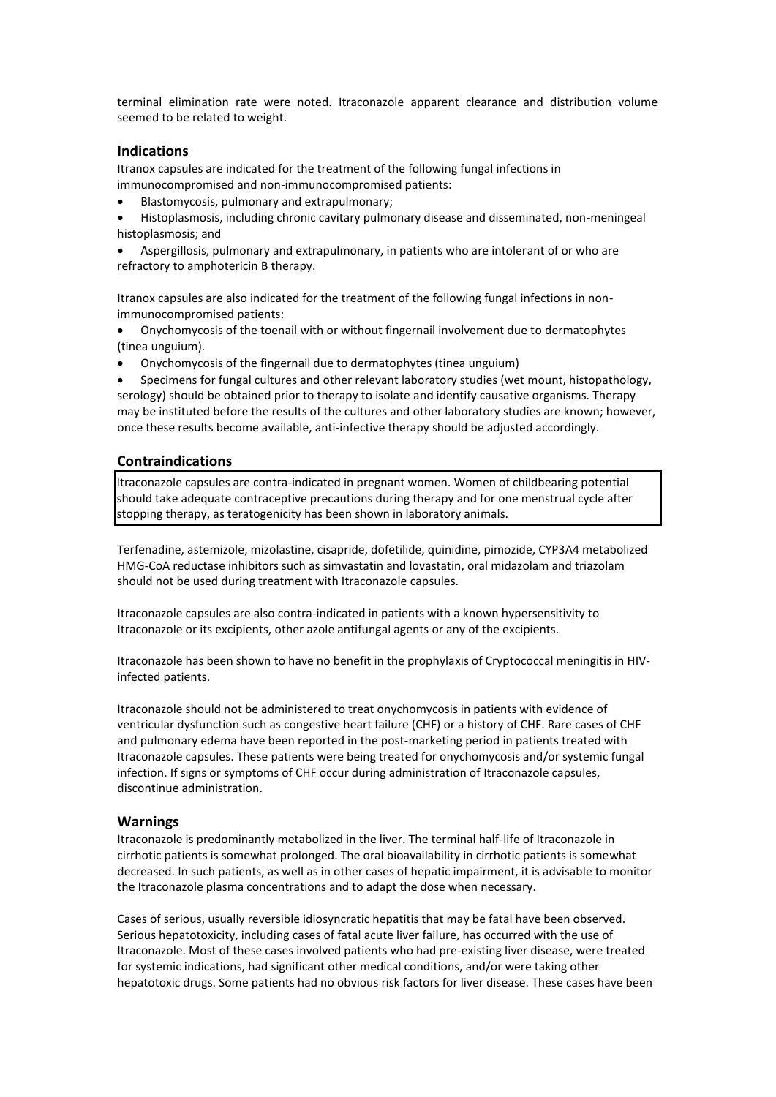terminal elimination rate were noted. Itraconazole apparent clearance and distribution volume seemed to be related to weight.

## **Indications**

Itranox capsules are indicated for the treatment of the following fungal infections in immunocompromised and non-immunocompromised patients:

- Blastomycosis, pulmonary and extrapulmonary;
- Histoplasmosis, including chronic cavitary pulmonary disease and disseminated, non-meningeal histoplasmosis; and
- Aspergillosis, pulmonary and extrapulmonary, in patients who are intolerant of or who are refractory to amphotericin B therapy.

Itranox capsules are also indicated for the treatment of the following fungal infections in nonimmunocompromised patients:

- Onychomycosis of the toenail with or without fingernail involvement due to dermatophytes (tinea unguium).
- Onychomycosis of the fingernail due to dermatophytes (tinea unguium)
- Specimens for fungal cultures and other relevant laboratory studies (wet mount, histopathology, serology) should be obtained prior to therapy to isolate and identify causative organisms. Therapy may be instituted before the results of the cultures and other laboratory studies are known; however, once these results become available, anti-infective therapy should be adjusted accordingly.

# **Contraindications**

Itraconazole capsules are contra-indicated in pregnant women. Women of childbearing potential should take adequate contraceptive precautions during therapy and for one menstrual cycle after stopping therapy, as teratogenicity has been shown in laboratory animals.

Terfenadine, astemizole, mizolastine, cisapride, dofetilide, quinidine, pimozide, CYP3A4 metabolized HMG-CoA reductase inhibitors such as simvastatin and lovastatin, oral midazolam and triazolam should not be used during treatment with Itraconazole capsules.

Itraconazole capsules are also contra-indicated in patients with a known hypersensitivity to Itraconazole or its excipients, other azole antifungal agents or any of the excipients.

Itraconazole has been shown to have no benefit in the prophylaxis of Cryptococcal meningitis in HIVinfected patients.

Itraconazole should not be administered to treat onychomycosis in patients with evidence of ventricular dysfunction such as congestive heart failure (CHF) or a history of CHF. Rare cases of CHF and pulmonary edema have been reported in the post-marketing period in patients treated with Itraconazole capsules. These patients were being treated for onychomycosis and/or systemic fungal infection. If signs or symptoms of CHF occur during administration of Itraconazole capsules, discontinue administration.

### **Warnings**

Itraconazole is predominantly metabolized in the liver. The terminal half-life of Itraconazole in cirrhotic patients is somewhat prolonged. The oral bioavailability in cirrhotic patients is somewhat decreased. In such patients, as well as in other cases of hepatic impairment, it is advisable to monitor the Itraconazole plasma concentrations and to adapt the dose when necessary.

Cases of serious, usually reversible idiosyncratic hepatitis that may be fatal have been observed. Serious hepatotoxicity, including cases of fatal acute liver failure, has occurred with the use of Itraconazole. Most of these cases involved patients who had pre-existing liver disease, were treated for systemic indications, had significant other medical conditions, and/or were taking other hepatotoxic drugs. Some patients had no obvious risk factors for liver disease. These cases have been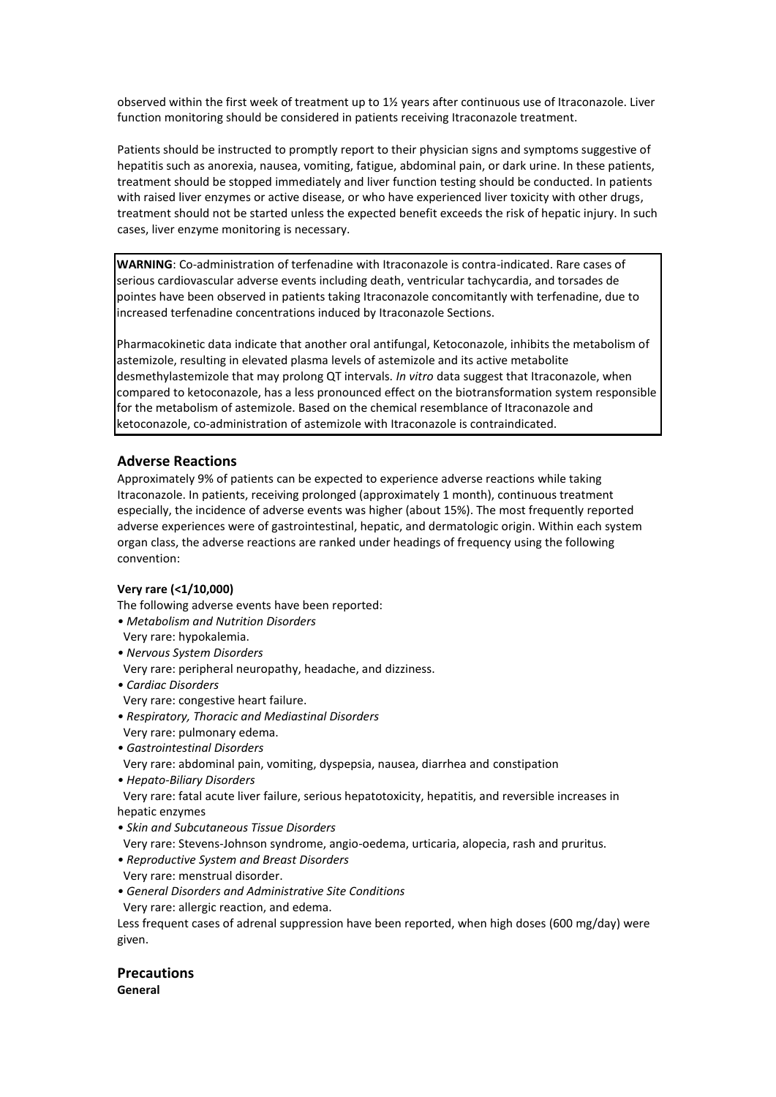observed within the first week of treatment up to 1½ years after continuous use of Itraconazole. Liver function monitoring should be considered in patients receiving Itraconazole treatment.

Patients should be instructed to promptly report to their physician signs and symptoms suggestive of hepatitis such as anorexia, nausea, vomiting, fatigue, abdominal pain, or dark urine. In these patients, treatment should be stopped immediately and liver function testing should be conducted. In patients with raised liver enzymes or active disease, or who have experienced liver toxicity with other drugs, treatment should not be started unless the expected benefit exceeds the risk of hepatic injury. In such cases, liver enzyme monitoring is necessary.

**WARNING**: Co-administration of terfenadine with Itraconazole is contra-indicated. Rare cases of serious cardiovascular adverse events including death, ventricular tachycardia, and torsades de pointes have been observed in patients taking Itraconazole concomitantly with terfenadine, due to increased terfenadine concentrations induced by Itraconazole Sections.

Pharmacokinetic data indicate that another oral antifungal, Ketoconazole, inhibits the metabolism of astemizole, resulting in elevated plasma levels of astemizole and its active metabolite desmethylastemizole that may prolong QT intervals. *In vitro* data suggest that Itraconazole, when compared to ketoconazole, has a less pronounced effect on the biotransformation system responsible for the metabolism of astemizole. Based on the chemical resemblance of Itraconazole and ketoconazole, co-administration of astemizole with Itraconazole is contraindicated.

### **Adverse Reactions**

Approximately 9% of patients can be expected to experience adverse reactions while taking Itraconazole. In patients, receiving prolonged (approximately 1 month), continuous treatment especially, the incidence of adverse events was higher (about 15%). The most frequently reported adverse experiences were of gastrointestinal, hepatic, and dermatologic origin. Within each system organ class, the adverse reactions are ranked under headings of frequency using the following convention:

### **Very rare (<1/10,000)**

The following adverse events have been reported:

- *Metabolism and Nutrition Disorders*
- Very rare: hypokalemia.
- *Nervous System Disorders*
- Very rare: peripheral neuropathy, headache, and dizziness.
- *Cardiac Disorders*
- Very rare: congestive heart failure.
- *Respiratory, Thoracic and Mediastinal Disorders*
- Very rare: pulmonary edema.
- *Gastrointestinal Disorders*
- Very rare: abdominal pain, vomiting, dyspepsia, nausea, diarrhea and constipation
- *Hepato-Biliary Disorders*

 Very rare: fatal acute liver failure, serious hepatotoxicity, hepatitis, and reversible increases in hepatic enzymes

- *Skin and Subcutaneous Tissue Disorders*
- Very rare: Stevens-Johnson syndrome, angio-oedema, urticaria, alopecia, rash and pruritus.
- *Reproductive System and Breast Disorders*
- Very rare: menstrual disorder.
- *General Disorders and Administrative Site Conditions*
- Very rare: allergic reaction, and edema.

Less frequent cases of adrenal suppression have been reported, when high doses (600 mg/day) were given.

**Precautions General**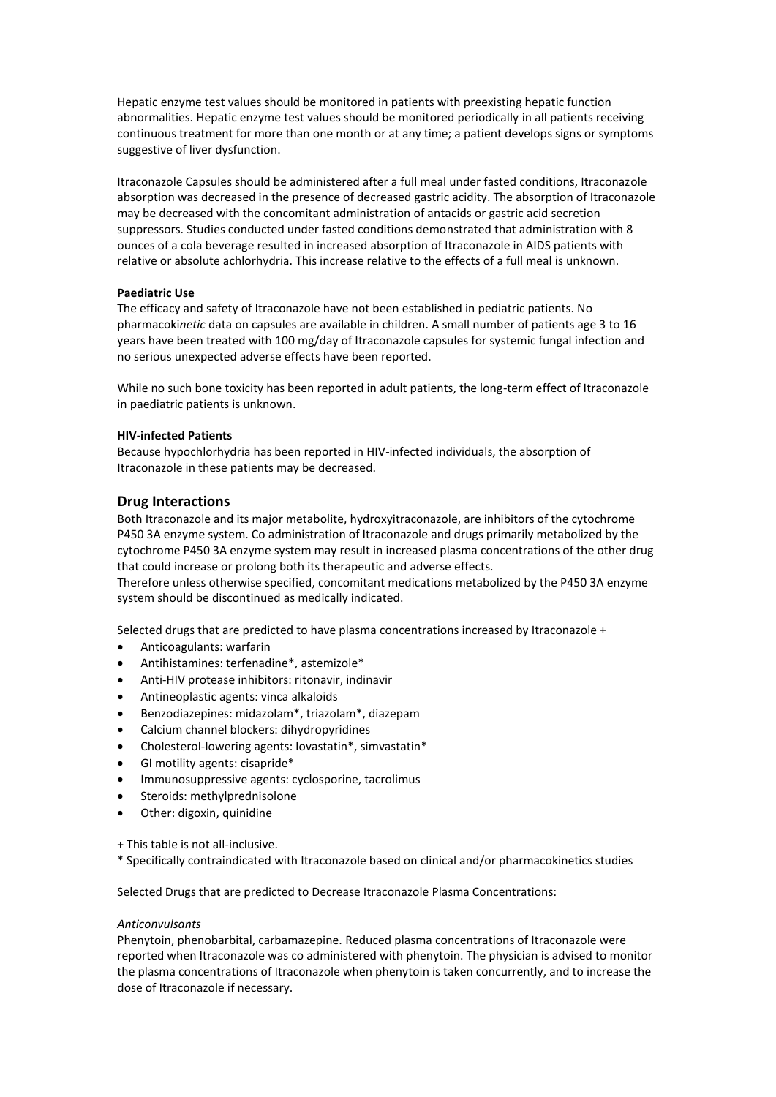Hepatic enzyme test values should be monitored in patients with preexisting hepatic function abnormalities. Hepatic enzyme test values should be monitored periodically in all patients receiving continuous treatment for more than one month or at any time; a patient develops signs or symptoms suggestive of liver dysfunction.

Itraconazole Capsules should be administered after a full meal under fasted conditions, Itraconazole absorption was decreased in the presence of decreased gastric acidity. The absorption of Itraconazole may be decreased with the concomitant administration of antacids or gastric acid secretion suppressors. Studies conducted under fasted conditions demonstrated that administration with 8 ounces of a cola beverage resulted in increased absorption of Itraconazole in AIDS patients with relative or absolute achlorhydria. This increase relative to the effects of a full meal is unknown.

#### **Paediatric Use**

The efficacy and safety of Itraconazole have not been established in pediatric patients. No pharmacoki*netic* data on capsules are available in children. A small number of patients age 3 to 16 years have been treated with 100 mg/day of Itraconazole capsules for systemic fungal infection and no serious unexpected adverse effects have been reported.

While no such bone toxicity has been reported in adult patients, the long-term effect of Itraconazole in paediatric patients is unknown.

### **HIV-infected Patients**

Because hypochlorhydria has been reported in HIV-infected individuals, the absorption of Itraconazole in these patients may be decreased.

### **Drug Interactions**

Both Itraconazole and its major metabolite, hydroxyitraconazole, are inhibitors of the cytochrome P450 3A enzyme system. Co administration of Itraconazole and drugs primarily metabolized by the cytochrome P450 3A enzyme system may result in increased plasma concentrations of the other drug that could increase or prolong both its therapeutic and adverse effects.

Therefore unless otherwise specified, concomitant medications metabolized by the P450 3A enzyme system should be discontinued as medically indicated.

Selected drugs that are predicted to have plasma concentrations increased by Itraconazole +

- Anticoagulants: warfarin
- Antihistamines: terfenadine\*, astemizole\*
- Anti-HIV protease inhibitors: ritonavir, indinavir
- Antineoplastic agents: vinca alkaloids
- Benzodiazepines: midazolam\*, triazolam\*, diazepam
- Calcium channel blockers: dihydropyridines
- Cholesterol-lowering agents: lovastatin\*, simvastatin\*
- GI motility agents: cisapride\*
- Immunosuppressive agents: cyclosporine, tacrolimus
- Steroids: methylprednisolone
- Other: digoxin, quinidine

+ This table is not all-inclusive.

\* Specifically contraindicated with Itraconazole based on clinical and/or pharmacokinetics studies

Selected Drugs that are predicted to Decrease Itraconazole Plasma Concentrations:

#### *Anticonvulsants*

Phenytoin, phenobarbital, carbamazepine. Reduced plasma concentrations of Itraconazole were reported when Itraconazole was co administered with phenytoin. The physician is advised to monitor the plasma concentrations of Itraconazole when phenytoin is taken concurrently, and to increase the dose of Itraconazole if necessary.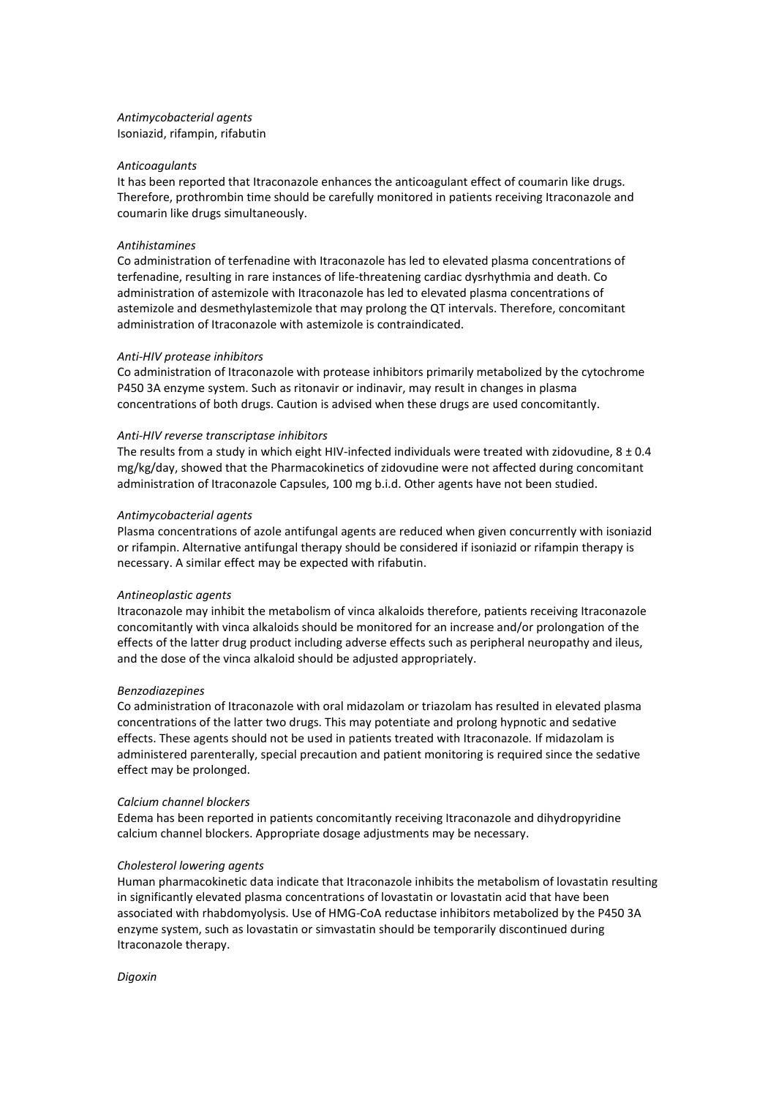### *Antimycobacterial agents* Isoniazid, rifampin, rifabutin

#### *Anticoagulants*

It has been reported that Itraconazole enhances the anticoagulant effect of coumarin like drugs. Therefore, prothrombin time should be carefully monitored in patients receiving Itraconazole and coumarin like drugs simultaneously.

#### *Antihistamines*

Co administration of terfenadine with Itraconazole has led to elevated plasma concentrations of terfenadine, resulting in rare instances of life-threatening cardiac dysrhythmia and death. Co administration of astemizole with Itraconazole has led to elevated plasma concentrations of astemizole and desmethylastemizole that may prolong the QT intervals. Therefore, concomitant administration of Itraconazole with astemizole is contraindicated.

#### *Anti-HIV protease inhibitors*

Co administration of Itraconazole with protease inhibitors primarily metabolized by the cytochrome P450 3A enzyme system. Such as ritonavir or indinavir, may result in changes in plasma concentrations of both drugs. Caution is advised when these drugs are used concomitantly.

#### *Anti-HIV reverse transcriptase inhibitors*

The results from a study in which eight HIV-infected individuals were treated with zidovudine,  $8 \pm 0.4$ mg/kg/day, showed that the Pharmacokinetics of zidovudine were not affected during concomitant administration of Itraconazole Capsules, 100 mg b.i.d. Other agents have not been studied.

#### *Antimycobacterial agents*

Plasma concentrations of azole antifungal agents are reduced when given concurrently with isoniazid or rifampin. Alternative antifungal therapy should be considered if isoniazid or rifampin therapy is necessary. A similar effect may be expected with rifabutin.

#### *Antineoplastic agents*

Itraconazole may inhibit the metabolism of vinca alkaloids therefore, patients receiving Itraconazole concomitantly with vinca alkaloids should be monitored for an increase and/or prolongation of the effects of the latter drug product including adverse effects such as peripheral neuropathy and ileus, and the dose of the vinca alkaloid should be adjusted appropriately.

#### *Benzodiazepines*

Co administration of Itraconazole with oral midazolam or triazolam has resulted in elevated plasma concentrations of the latter two drugs. This may potentiate and prolong hypnotic and sedative effects. These agents should not be used in patients treated with Itraconazole*.* If midazolam is administered parenterally, special precaution and patient monitoring is required since the sedative effect may be prolonged.

#### *Calcium channel blockers*

Edema has been reported in patients concomitantly receiving Itraconazole and dihydropyridine calcium channel blockers. Appropriate dosage adjustments may be necessary.

#### *Cholesterol lowering agents*

Human pharmacokinetic data indicate that Itraconazole inhibits the metabolism of lovastatin resulting in significantly elevated plasma concentrations of lovastatin or lovastatin acid that have been associated with rhabdomyolysis. Use of HMG-CoA reductase inhibitors metabolized by the P450 3A enzyme system, such as lovastatin or simvastatin should be temporarily discontinued during Itraconazole therapy.

*Digoxin*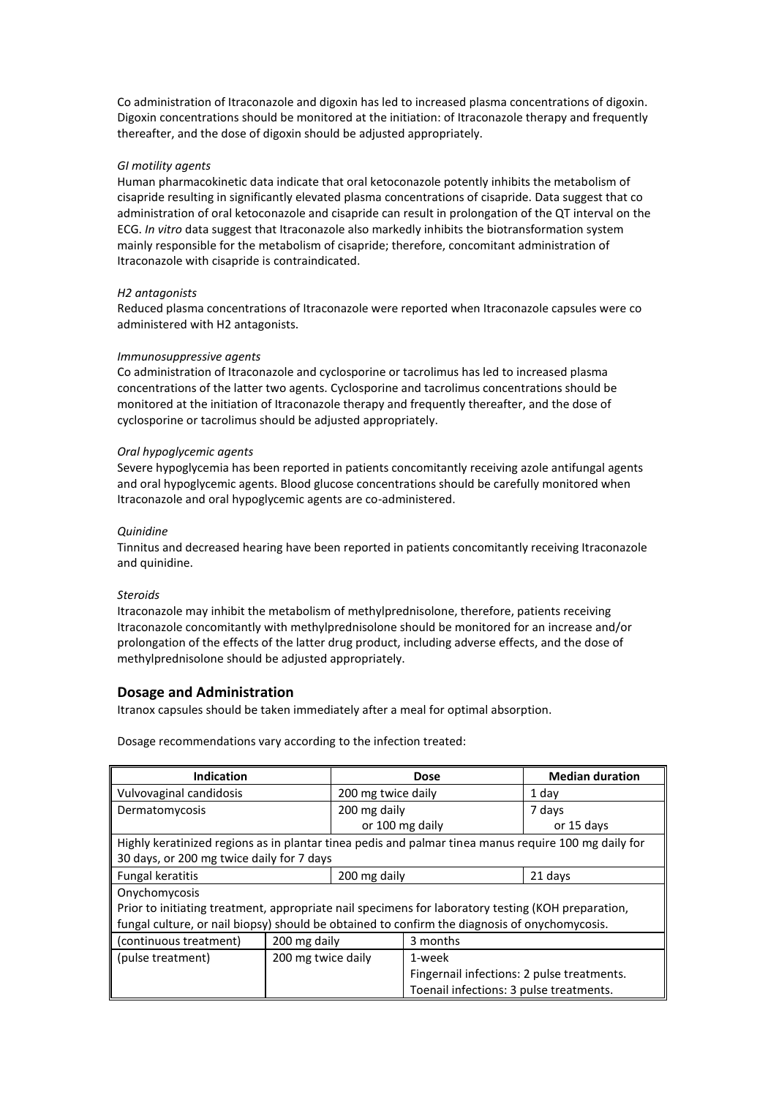Co administration of Itraconazole and digoxin has led to increased plasma concentrations of digoxin. Digoxin concentrations should be monitored at the initiation: of Itraconazole therapy and frequently thereafter, and the dose of digoxin should be adjusted appropriately.

### *GI motility agents*

Human pharmacokinetic data indicate that oral ketoconazole potently inhibits the metabolism of cisapride resulting in significantly elevated plasma concentrations of cisapride. Data suggest that co administration of oral ketoconazole and cisapride can result in prolongation of the QT interval on the ECG. *In vitro* data suggest that Itraconazole also markedly inhibits the biotransformation system mainly responsible for the metabolism of cisapride; therefore, concomitant administration of Itraconazole with cisapride is contraindicated.

### *H2 antagonists*

Reduced plasma concentrations of Itraconazole were reported when Itraconazole capsules were co administered with H2 antagonists.

### *Immunosuppressive agents*

Co administration of Itraconazole and cyclosporine or tacrolimus has led to increased plasma concentrations of the latter two agents. Cyclosporine and tacrolimus concentrations should be monitored at the initiation of Itraconazole therapy and frequently thereafter, and the dose of cyclosporine or tacrolimus should be adjusted appropriately.

### *Oral hypoglycemic agents*

Severe hypoglycemia has been reported in patients concomitantly receiving azole antifungal agents and oral hypoglycemic agents. Blood glucose concentrations should be carefully monitored when Itraconazole and oral hypoglycemic agents are co-administered.

### *Quinidine*

Tinnitus and decreased hearing have been reported in patients concomitantly receiving Itraconazole and quinidine.

#### *Steroids*

Itraconazole may inhibit the metabolism of methylprednisolone, therefore, patients receiving Itraconazole concomitantly with methylprednisolone should be monitored for an increase and/or prolongation of the effects of the latter drug product, including adverse effects, and the dose of methylprednisolone should be adjusted appropriately.

### **Dosage and Administration**

Itranox capsules should be taken immediately after a meal for optimal absorption.

Dosage recommendations vary according to the infection treated:

| <b>Indication</b>                                                                                    |                    | <b>Dose</b>        |                                            | <b>Median duration</b> |  |
|------------------------------------------------------------------------------------------------------|--------------------|--------------------|--------------------------------------------|------------------------|--|
| Vulvovaginal candidosis                                                                              |                    | 200 mg twice daily |                                            | 1 day                  |  |
| Dermatomycosis                                                                                       |                    | 200 mg daily       |                                            | 7 days                 |  |
|                                                                                                      |                    | or 100 mg daily    |                                            | or 15 days             |  |
| Highly keratinized regions as in plantar tinea pedis and palmar tinea manus require 100 mg daily for |                    |                    |                                            |                        |  |
| 30 days, or 200 mg twice daily for 7 days                                                            |                    |                    |                                            |                        |  |
| <b>Fungal keratitis</b>                                                                              |                    | 200 mg daily       |                                            | 21 days                |  |
| Onychomycosis                                                                                        |                    |                    |                                            |                        |  |
| Prior to initiating treatment, appropriate nail specimens for laboratory testing (KOH preparation,   |                    |                    |                                            |                        |  |
| fungal culture, or nail biopsy) should be obtained to confirm the diagnosis of onychomycosis.        |                    |                    |                                            |                        |  |
| (continuous treatment)                                                                               | 200 mg daily       |                    | 3 months                                   |                        |  |
| (pulse treatment)                                                                                    | 200 mg twice daily |                    | 1-week                                     |                        |  |
|                                                                                                      |                    |                    | Fingernail infections: 2 pulse treatments. |                        |  |
|                                                                                                      |                    |                    | Toenail infections: 3 pulse treatments.    |                        |  |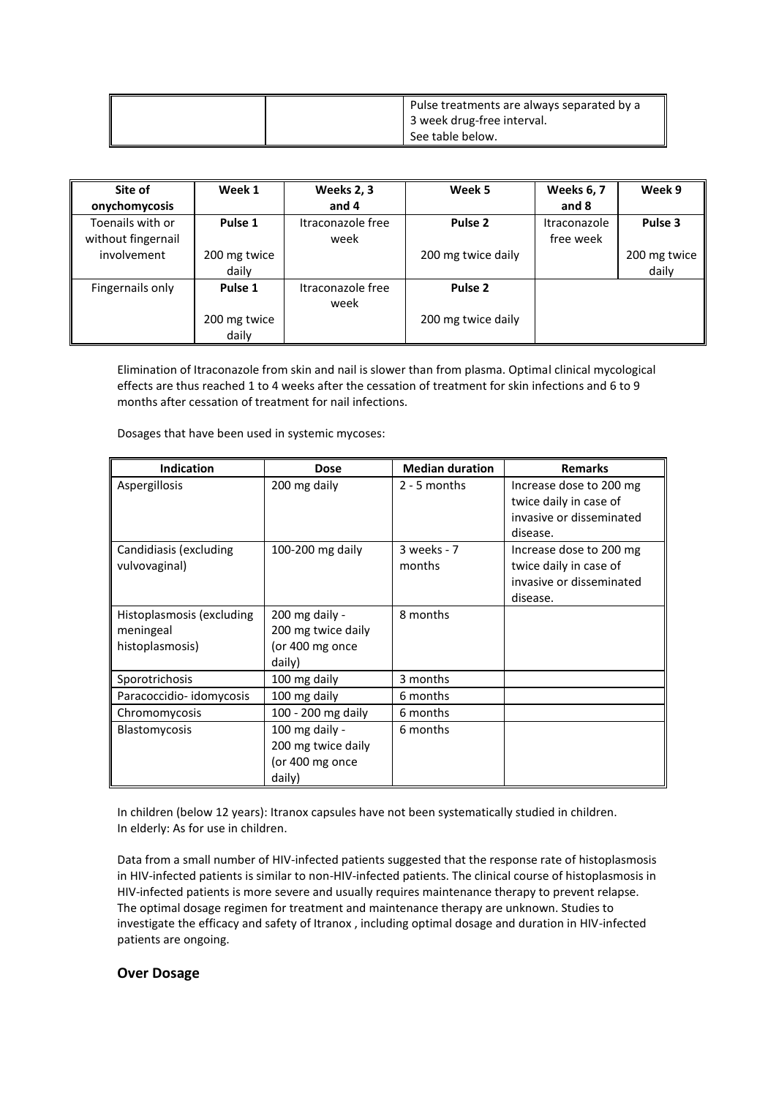| Pulse treatments are always separated by a |
|--------------------------------------------|
| 3 week drug-free interval.                 |
| See table below.                           |

| Site of            | Week 1       | Weeks 2, 3        | Week 5             | <b>Weeks 6, 7</b> | Week 9       |
|--------------------|--------------|-------------------|--------------------|-------------------|--------------|
| onychomycosis      |              | and $4$           |                    | and 8             |              |
| Toenails with or   | Pulse 1      | Itraconazole free | Pulse 2            | Itraconazole      | Pulse 3      |
| without fingernail |              | week              |                    | free week         |              |
| involvement        | 200 mg twice |                   | 200 mg twice daily |                   | 200 mg twice |
|                    | daily        |                   |                    |                   | daily        |
| Fingernails only   | Pulse 1      | Itraconazole free | Pulse 2            |                   |              |
|                    |              | week              |                    |                   |              |
|                    | 200 mg twice |                   | 200 mg twice daily |                   |              |
|                    | daily        |                   |                    |                   |              |

Elimination of Itraconazole from skin and nail is slower than from plasma. Optimal clinical mycological effects are thus reached 1 to 4 weeks after the cessation of treatment for skin infections and 6 to 9 months after cessation of treatment for nail infections.

Dosages that have been used in systemic mycoses:

| <b>Indication</b>                                         | <b>Dose</b>                                                       | <b>Median duration</b> | <b>Remarks</b>                                                                            |  |
|-----------------------------------------------------------|-------------------------------------------------------------------|------------------------|-------------------------------------------------------------------------------------------|--|
| Aspergillosis                                             | 200 mg daily                                                      | $2 - 5$ months         | Increase dose to 200 mg<br>twice daily in case of<br>invasive or disseminated<br>disease. |  |
| Candidiasis (excluding<br>vulvovaginal)                   | 100-200 mg daily                                                  | 3 weeks - 7<br>months  | Increase dose to 200 mg<br>twice daily in case of<br>invasive or disseminated<br>disease. |  |
| Histoplasmosis (excluding<br>meningeal<br>histoplasmosis) | 200 mg daily -<br>200 mg twice daily<br>(or 400 mg once<br>daily) | 8 months               |                                                                                           |  |
| Sporotrichosis                                            | 100 mg daily                                                      | 3 months               |                                                                                           |  |
| Paracoccidio-idomycosis                                   | 100 mg daily                                                      | 6 months               |                                                                                           |  |
| Chromomycosis                                             | 100 - 200 mg daily                                                | 6 months               |                                                                                           |  |
| <b>Blastomycosis</b>                                      | 100 mg daily -<br>200 mg twice daily<br>(or 400 mg once<br>daily) | 6 months               |                                                                                           |  |

In children (below 12 years): Itranox capsules have not been systematically studied in children. In elderly: As for use in children.

Data from a small number of HIV-infected patients suggested that the response rate of histoplasmosis in HIV-infected patients is similar to non-HIV-infected patients. The clinical course of histoplasmosis in HIV-infected patients is more severe and usually requires maintenance therapy to prevent relapse. The optimal dosage regimen for treatment and maintenance therapy are unknown. Studies to investigate the efficacy and safety of Itranox , including optimal dosage and duration in HIV-infected patients are ongoing.

### **Over Dosage**